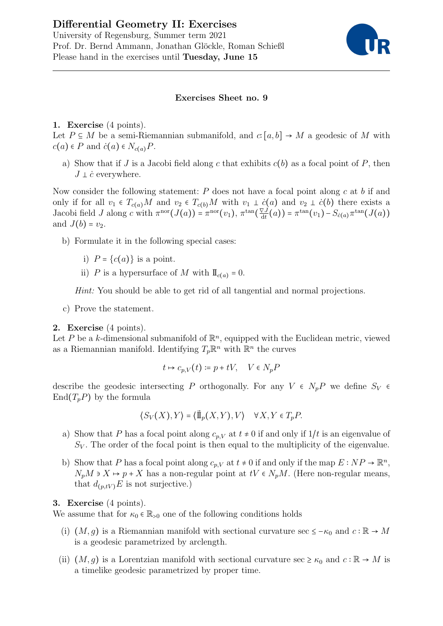

## Exercises Sheet no. 9

## 1. Exercise (4 points).

Let  $P \subseteq M$  be a semi-Riemannian submanifold, and  $c: [a, b] \to M$  a geodesic of M with  $c(a) \in P$  and  $\dot{c}(a) \in N_{c(a)}P$ .

a) Show that if J is a Jacobi field along c that exhibits  $c(b)$  as a focal point of P, then  $J \perp \dot{c}$  everywhere.

Now consider the following statement:  $P$  does not have a focal point along  $c$  at  $b$  if and only if for all  $v_1 \in T_{c(a)}M$  and  $v_2 \in T_{c(b)}M$  with  $v_1 \perp \dot{c}(a)$  and  $v_2 \perp \dot{c}(b)$  there exists a Jacobi field J along c with  $\pi^{\text{nor}}(J(a)) = \pi^{\text{nor}}(v_1), \pi^{\text{tan}}(\frac{\nabla J}{dt})$  $\frac{\nabla J}{\mathrm{d}t}(a)) = \pi^{\tan}(v_1) - S_{\dot{c}(a)}\pi^{\tan}(J(a))$ and  $J(b) = v_2$ .

- b) Formulate it in the following special cases:
	- i)  $P = \{c(a)\}\)$  is a point.
	- ii) P is a hypersurface of M with  $\mathbb{I}_{c(a)} = 0$ .

Hint: You should be able to get rid of all tangential and normal projections.

c) Prove the statement.

## 2. Exercise (4 points).

Let P be a k-dimensional submanifold of  $\mathbb{R}^n$ , equipped with the Euclidean metric, viewed as a Riemannian manifold. Identifying  $T_p\mathbb{R}^n$  with  $\mathbb{R}^n$  the curves

$$
t \mapsto c_{p,V}(t) \coloneqq p + tV, \quad V \in N_p P
$$

describe the geodesic intersecting P orthogonally. For any  $V \in N_pP$  we define  $S_V \in$  $\text{End}(T_pP)$  by the formula

$$
\langle S_V(X), Y \rangle = \langle \vec{\mathbb{1}}_p(X, Y), V \rangle \quad \forall X, Y \in T_p P.
$$

- a) Show that P has a focal point along  $c_{p,V}$  at  $t \neq 0$  if and only if  $1/t$  is an eigenvalue of  $S_V$ . The order of the focal point is then equal to the multiplicity of the eigenvalue.
- b) Show that P has a focal point along  $c_{p,V}$  at  $t \neq 0$  if and only if the map  $E : NP \to \mathbb{R}^n$ ,  $N_pM \ni X \mapsto p+X$  has a non-regular point at  $tV \in N_pM$ . (Here non-regular means, that  $d_{(p,tV)}E$  is not surjective.)

## 3. Exercise (4 points).

We assume that for  $\kappa_0 \in \mathbb{R}_{>0}$  one of the following conditions holds

- (i)  $(M, g)$  is a Riemannian manifold with sectional curvature sec  $\leq -\kappa_0$  and  $c : \mathbb{R} \to M$ is a geodesic parametrized by arclength.
- (ii)  $(M, g)$  is a Lorentzian manifold with sectional curvature sec  $\geq \kappa_0$  and  $c : \mathbb{R} \to M$  is a timelike geodesic parametrized by proper time.